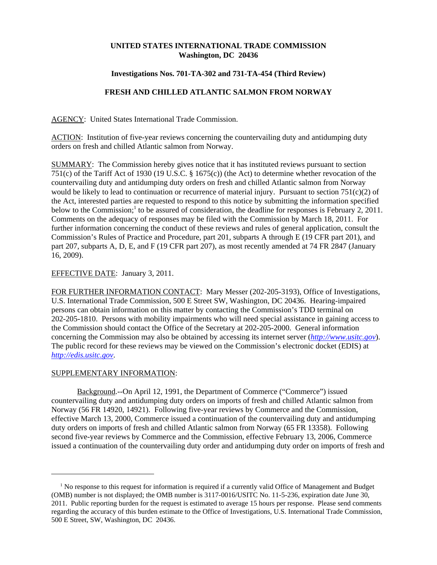## **UNITED STATES INTERNATIONAL TRADE COMMISSION Washington, DC 20436**

### **Investigations Nos. 701-TA-302 and 731-TA-454 (Third Review)**

# **FRESH AND CHILLED ATLANTIC SALMON FROM NORWAY**

AGENCY: United States International Trade Commission.

ACTION: Institution of five-year reviews concerning the countervailing duty and antidumping duty orders on fresh and chilled Atlantic salmon from Norway.

SUMMARY: The Commission hereby gives notice that it has instituted reviews pursuant to section 751(c) of the Tariff Act of 1930 (19 U.S.C. § 1675(c)) (the Act) to determine whether revocation of the countervailing duty and antidumping duty orders on fresh and chilled Atlantic salmon from Norway would be likely to lead to continuation or recurrence of material injury. Pursuant to section 751(c)(2) of the Act, interested parties are requested to respond to this notice by submitting the information specified below to the Commission;<sup>1</sup> to be assured of consideration, the deadline for responses is February 2, 2011. Comments on the adequacy of responses may be filed with the Commission by March 18, 2011. For further information concerning the conduct of these reviews and rules of general application, consult the Commission's Rules of Practice and Procedure, part 201, subparts A through E (19 CFR part 201), and part 207, subparts A, D, E, and F (19 CFR part 207), as most recently amended at 74 FR 2847 (January 16, 2009).

### EFFECTIVE DATE: January 3, 2011.

FOR FURTHER INFORMATION CONTACT: Mary Messer (202-205-3193), Office of Investigations, U.S. International Trade Commission, 500 E Street SW, Washington, DC 20436. Hearing-impaired persons can obtain information on this matter by contacting the Commission's TDD terminal on 202-205-1810. Persons with mobility impairments who will need special assistance in gaining access to the Commission should contact the Office of the Secretary at 202-205-2000. General information concerning the Commission may also be obtained by accessing its internet server (*http://www.usitc.gov*). The public record for these reviews may be viewed on the Commission's electronic docket (EDIS) at *http://edis.usitc.gov*.

## SUPPLEMENTARY INFORMATION:

Background.--On April 12, 1991, the Department of Commerce ("Commerce") issued countervailing duty and antidumping duty orders on imports of fresh and chilled Atlantic salmon from Norway (56 FR 14920, 14921). Following five-year reviews by Commerce and the Commission, effective March 13, 2000, Commerce issued a continuation of the countervailing duty and antidumping duty orders on imports of fresh and chilled Atlantic salmon from Norway (65 FR 13358). Following second five-year reviews by Commerce and the Commission, effective February 13, 2006, Commerce issued a continuation of the countervailing duty order and antidumping duty order on imports of fresh and

<sup>&</sup>lt;sup>1</sup> No response to this request for information is required if a currently valid Office of Management and Budget (OMB) number is not displayed; the OMB number is 3117-0016/USITC No. 11-5-236, expiration date June 30, 2011. Public reporting burden for the request is estimated to average 15 hours per response. Please send comments regarding the accuracy of this burden estimate to the Office of Investigations, U.S. International Trade Commission, 500 E Street, SW, Washington, DC 20436.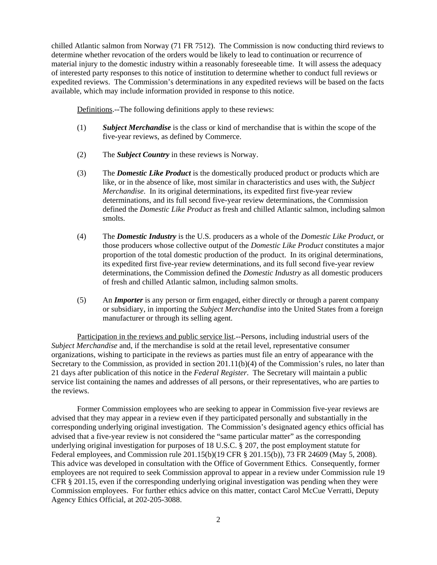chilled Atlantic salmon from Norway (71 FR 7512). The Commission is now conducting third reviews to determine whether revocation of the orders would be likely to lead to continuation or recurrence of material injury to the domestic industry within a reasonably foreseeable time. It will assess the adequacy of interested party responses to this notice of institution to determine whether to conduct full reviews or expedited reviews. The Commission's determinations in any expedited reviews will be based on the facts available, which may include information provided in response to this notice.

Definitions.--The following definitions apply to these reviews:

- (1) *Subject Merchandise* is the class or kind of merchandise that is within the scope of the five-year reviews, as defined by Commerce.
- (2) The *Subject Country* in these reviews is Norway.
- (3) The *Domestic Like Product* is the domestically produced product or products which are like, or in the absence of like, most similar in characteristics and uses with, the *Subject Merchandise*. In its original determinations, its expedited first five-year review determinations, and its full second five-year review determinations, the Commission defined the *Domestic Like Product* as fresh and chilled Atlantic salmon, including salmon smolts.
- (4) The *Domestic Industry* is the U.S. producers as a whole of the *Domestic Like Product*, or those producers whose collective output of the *Domestic Like Product* constitutes a major proportion of the total domestic production of the product. In its original determinations, its expedited first five-year review determinations, and its full second five-year review determinations, the Commission defined the *Domestic Industry* as all domestic producers of fresh and chilled Atlantic salmon, including salmon smolts.
- (5) An *Importer* is any person or firm engaged, either directly or through a parent company or subsidiary, in importing the *Subject Merchandise* into the United States from a foreign manufacturer or through its selling agent.

Participation in the reviews and public service list.--Persons, including industrial users of the *Subject Merchandise* and, if the merchandise is sold at the retail level, representative consumer organizations, wishing to participate in the reviews as parties must file an entry of appearance with the Secretary to the Commission, as provided in section 201.11(b)(4) of the Commission's rules, no later than 21 days after publication of this notice in the *Federal Register*. The Secretary will maintain a public service list containing the names and addresses of all persons, or their representatives, who are parties to the reviews.

Former Commission employees who are seeking to appear in Commission five-year reviews are advised that they may appear in a review even if they participated personally and substantially in the corresponding underlying original investigation. The Commission's designated agency ethics official has advised that a five-year review is not considered the "same particular matter" as the corresponding underlying original investigation for purposes of 18 U.S.C. § 207, the post employment statute for Federal employees, and Commission rule 201.15(b)(19 CFR § 201.15(b)), 73 FR 24609 (May 5, 2008). This advice was developed in consultation with the Office of Government Ethics. Consequently, former employees are not required to seek Commission approval to appear in a review under Commission rule 19 CFR § 201.15, even if the corresponding underlying original investigation was pending when they were Commission employees. For further ethics advice on this matter, contact Carol McCue Verratti, Deputy Agency Ethics Official, at 202-205-3088.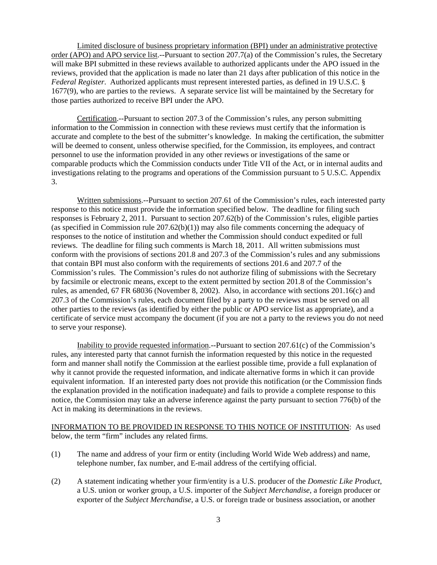Limited disclosure of business proprietary information (BPI) under an administrative protective order (APO) and APO service list.--Pursuant to section 207.7(a) of the Commission's rules, the Secretary will make BPI submitted in these reviews available to authorized applicants under the APO issued in the reviews, provided that the application is made no later than 21 days after publication of this notice in the *Federal Register*. Authorized applicants must represent interested parties, as defined in 19 U.S.C. § 1677(9), who are parties to the reviews. A separate service list will be maintained by the Secretary for those parties authorized to receive BPI under the APO.

Certification.--Pursuant to section 207.3 of the Commission's rules, any person submitting information to the Commission in connection with these reviews must certify that the information is accurate and complete to the best of the submitter's knowledge. In making the certification, the submitter will be deemed to consent, unless otherwise specified, for the Commission, its employees, and contract personnel to use the information provided in any other reviews or investigations of the same or comparable products which the Commission conducts under Title VII of the Act, or in internal audits and investigations relating to the programs and operations of the Commission pursuant to 5 U.S.C. Appendix 3.

Written submissions.--Pursuant to section 207.61 of the Commission's rules, each interested party response to this notice must provide the information specified below. The deadline for filing such responses is February 2, 2011. Pursuant to section 207.62(b) of the Commission's rules, eligible parties (as specified in Commission rule  $207.62(b)(1)$ ) may also file comments concerning the adequacy of responses to the notice of institution and whether the Commission should conduct expedited or full reviews. The deadline for filing such comments is March 18, 2011. All written submissions must conform with the provisions of sections 201.8 and 207.3 of the Commission's rules and any submissions that contain BPI must also conform with the requirements of sections 201.6 and 207.7 of the Commission's rules. The Commission's rules do not authorize filing of submissions with the Secretary by facsimile or electronic means, except to the extent permitted by section 201.8 of the Commission's rules, as amended, 67 FR 68036 (November 8, 2002). Also, in accordance with sections 201.16(c) and 207.3 of the Commission's rules, each document filed by a party to the reviews must be served on all other parties to the reviews (as identified by either the public or APO service list as appropriate), and a certificate of service must accompany the document (if you are not a party to the reviews you do not need to serve your response).

Inability to provide requested information.--Pursuant to section 207.61(c) of the Commission's rules, any interested party that cannot furnish the information requested by this notice in the requested form and manner shall notify the Commission at the earliest possible time, provide a full explanation of why it cannot provide the requested information, and indicate alternative forms in which it can provide equivalent information. If an interested party does not provide this notification (or the Commission finds the explanation provided in the notification inadequate) and fails to provide a complete response to this notice, the Commission may take an adverse inference against the party pursuant to section 776(b) of the Act in making its determinations in the reviews.

INFORMATION TO BE PROVIDED IN RESPONSE TO THIS NOTICE OF INSTITUTION: As used below, the term "firm" includes any related firms.

- (1) The name and address of your firm or entity (including World Wide Web address) and name, telephone number, fax number, and E-mail address of the certifying official.
- (2) A statement indicating whether your firm/entity is a U.S. producer of the *Domestic Like Product*, a U.S. union or worker group, a U.S. importer of the *Subject Merchandise*, a foreign producer or exporter of the *Subject Merchandise*, a U.S. or foreign trade or business association, or another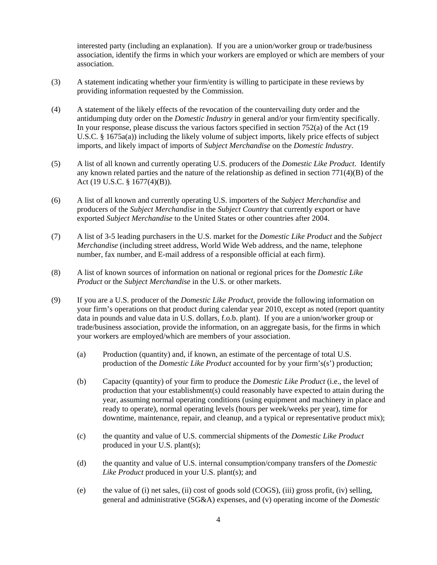interested party (including an explanation). If you are a union/worker group or trade/business association, identify the firms in which your workers are employed or which are members of your association.

- (3) A statement indicating whether your firm/entity is willing to participate in these reviews by providing information requested by the Commission.
- (4) A statement of the likely effects of the revocation of the countervailing duty order and the antidumping duty order on the *Domestic Industry* in general and/or your firm/entity specifically. In your response, please discuss the various factors specified in section 752(a) of the Act (19 U.S.C. § 1675a(a)) including the likely volume of subject imports, likely price effects of subject imports, and likely impact of imports of *Subject Merchandise* on the *Domestic Industry*.
- (5) A list of all known and currently operating U.S. producers of the *Domestic Like Product*. Identify any known related parties and the nature of the relationship as defined in section 771(4)(B) of the Act (19 U.S.C. § 1677(4)(B)).
- (6) A list of all known and currently operating U.S. importers of the *Subject Merchandise* and producers of the *Subject Merchandise* in the *Subject Country* that currently export or have exported *Subject Merchandise* to the United States or other countries after 2004.
- (7) A list of 3-5 leading purchasers in the U.S. market for the *Domestic Like Product* and the *Subject Merchandise* (including street address, World Wide Web address, and the name, telephone number, fax number, and E-mail address of a responsible official at each firm).
- (8) A list of known sources of information on national or regional prices for the *Domestic Like Product* or the *Subject Merchandise* in the U.S. or other markets.
- (9) If you are a U.S. producer of the *Domestic Like Product*, provide the following information on your firm's operations on that product during calendar year 2010, except as noted (report quantity data in pounds and value data in U.S. dollars, f.o.b. plant). If you are a union/worker group or trade/business association, provide the information, on an aggregate basis, for the firms in which your workers are employed/which are members of your association.
	- (a) Production (quantity) and, if known, an estimate of the percentage of total U.S. production of the *Domestic Like Product* accounted for by your firm's(s') production;
	- (b) Capacity (quantity) of your firm to produce the *Domestic Like Product* (i.e., the level of production that your establishment(s) could reasonably have expected to attain during the year, assuming normal operating conditions (using equipment and machinery in place and ready to operate), normal operating levels (hours per week/weeks per year), time for downtime, maintenance, repair, and cleanup, and a typical or representative product mix);
	- (c) the quantity and value of U.S. commercial shipments of the *Domestic Like Product* produced in your U.S. plant(s);
	- (d) the quantity and value of U.S. internal consumption/company transfers of the *Domestic Like Product* produced in your U.S. plant(s); and
	- (e) the value of (i) net sales, (ii) cost of goods sold (COGS), (iii) gross profit, (iv) selling, general and administrative (SG&A) expenses, and (v) operating income of the *Domestic*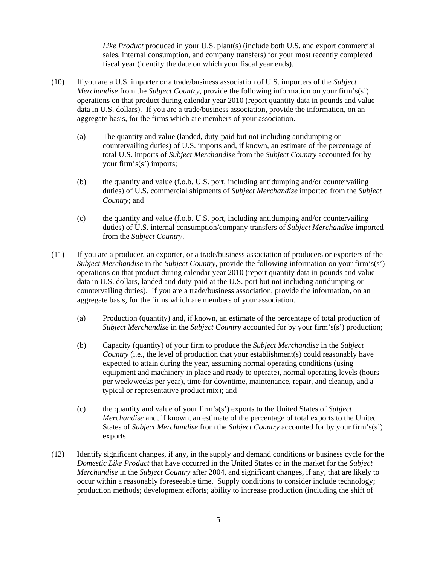*Like Product* produced in your U.S. plant(s) (include both U.S. and export commercial sales, internal consumption, and company transfers) for your most recently completed fiscal year (identify the date on which your fiscal year ends).

- (10) If you are a U.S. importer or a trade/business association of U.S. importers of the *Subject Merchandise* from the *Subject Country*, provide the following information on your firm's(s') operations on that product during calendar year 2010 (report quantity data in pounds and value data in U.S. dollars). If you are a trade/business association, provide the information, on an aggregate basis, for the firms which are members of your association.
	- (a) The quantity and value (landed, duty-paid but not including antidumping or countervailing duties) of U.S. imports and, if known, an estimate of the percentage of total U.S. imports of *Subject Merchandise* from the *Subject Country* accounted for by your firm's(s') imports;
	- (b) the quantity and value (f.o.b. U.S. port, including antidumping and/or countervailing duties) of U.S. commercial shipments of *Subject Merchandise* imported from the *Subject Country*; and
	- (c) the quantity and value (f.o.b. U.S. port, including antidumping and/or countervailing duties) of U.S. internal consumption/company transfers of *Subject Merchandise* imported from the *Subject Country*.
- (11) If you are a producer, an exporter, or a trade/business association of producers or exporters of the *Subject Merchandise* in the *Subject Country*, provide the following information on your firm's(s') operations on that product during calendar year 2010 (report quantity data in pounds and value data in U.S. dollars, landed and duty-paid at the U.S. port but not including antidumping or countervailing duties). If you are a trade/business association, provide the information, on an aggregate basis, for the firms which are members of your association.
	- (a) Production (quantity) and, if known, an estimate of the percentage of total production of *Subject Merchandise* in the *Subject Country* accounted for by your firm's(s') production;
	- (b) Capacity (quantity) of your firm to produce the *Subject Merchandise* in the *Subject Country* (i.e., the level of production that your establishment(s) could reasonably have expected to attain during the year, assuming normal operating conditions (using equipment and machinery in place and ready to operate), normal operating levels (hours per week/weeks per year), time for downtime, maintenance, repair, and cleanup, and a typical or representative product mix); and
	- (c) the quantity and value of your firm's(s') exports to the United States of *Subject Merchandise* and, if known, an estimate of the percentage of total exports to the United States of *Subject Merchandise* from the *Subject Country* accounted for by your firm's(s') exports.
- (12) Identify significant changes, if any, in the supply and demand conditions or business cycle for the *Domestic Like Product* that have occurred in the United States or in the market for the *Subject Merchandise* in the *Subject Country* after 2004, and significant changes, if any, that are likely to occur within a reasonably foreseeable time. Supply conditions to consider include technology; production methods; development efforts; ability to increase production (including the shift of